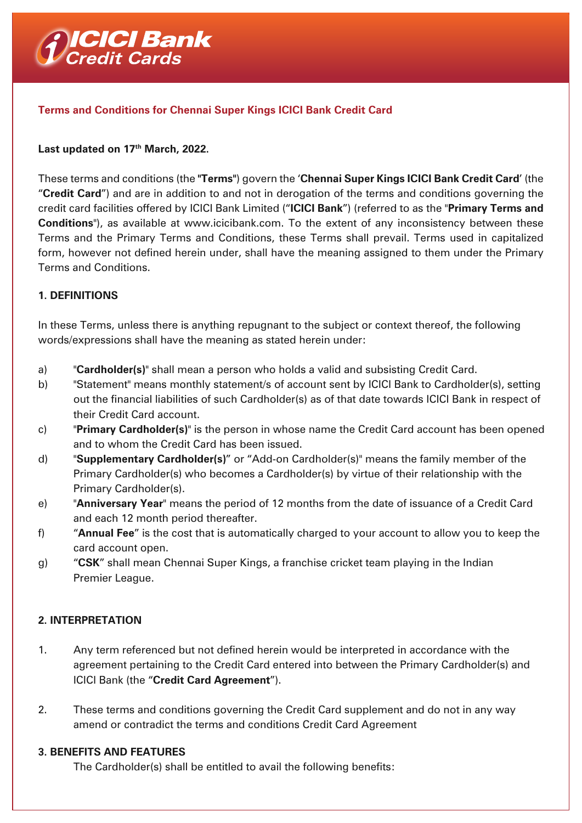

### **Terms and Conditions for Chennai Super Kings ICICI Bank Credit Card**

#### Last updated on 17<sup>th</sup> March, 2022.

These terms and conditions (the **"Terms"**) govern the '**Chennai Super Kings ICICI Bank Credit Card**' (the "**Credit Card**") and are in addition to and not in derogation of the terms and conditions governing the credit card facilities offered by ICICI Bank Limited ("**ICICI Bank**") (referred to as the "**Primary Terms and Conditions**"), as available at www.icicibank.com. To the extent of any inconsistency between these Terms and the Primary Terms and Conditions, these Terms shall prevail. Terms used in capitalized form, however not defined herein under, shall have the meaning assigned to them under the Primary Terms and Conditions.

#### **1. DEFINITIONS**

In these Terms, unless there is anything repugnant to the subject or context thereof, the following words/expressions shall have the meaning as stated herein under:

- a) "**Cardholder(s)**" shall mean a person who holds a valid and subsisting Credit Card.
- b) "Statement" means monthly statement/s of account sent by ICICI Bank to Cardholder(s), setting out the financial liabilities of such Cardholder(s) as of that date towards ICICI Bank in respect of their Credit Card account.
- c) "**Primary Cardholder(s)**" is the person in whose name the Credit Card account has been opened and to whom the Credit Card has been issued.
- d) "**Supplementary Cardholder(s)**" or "Add-on Cardholder(s)" means the family member of the Primary Cardholder(s) who becomes a Cardholder(s) by virtue of their relationship with the Primary Cardholder(s).
- e) "**Anniversary Year**" means the period of 12 months from the date of issuance of a Credit Card and each 12 month period thereafter.
- f) "**Annual Fee**" is the cost that is automatically charged to your account to allow you to keep the card account open.
- g) "**CSK**" shall mean Chennai Super Kings, a franchise cricket team playing in the Indian Premier League.

### **2. INTERPRETATION**

- 1. Any term referenced but not defined herein would be interpreted in accordance with the agreement pertaining to the Credit Card entered into between the Primary Cardholder(s) and ICICI Bank (the "**Credit Card Agreement**").
- 2. These terms and conditions governing the Credit Card supplement and do not in any way amend or contradict the terms and conditions Credit Card Agreement

#### **3. BENEFITS AND FEATURES**

The Cardholder(s) shall be entitled to avail the following benefits: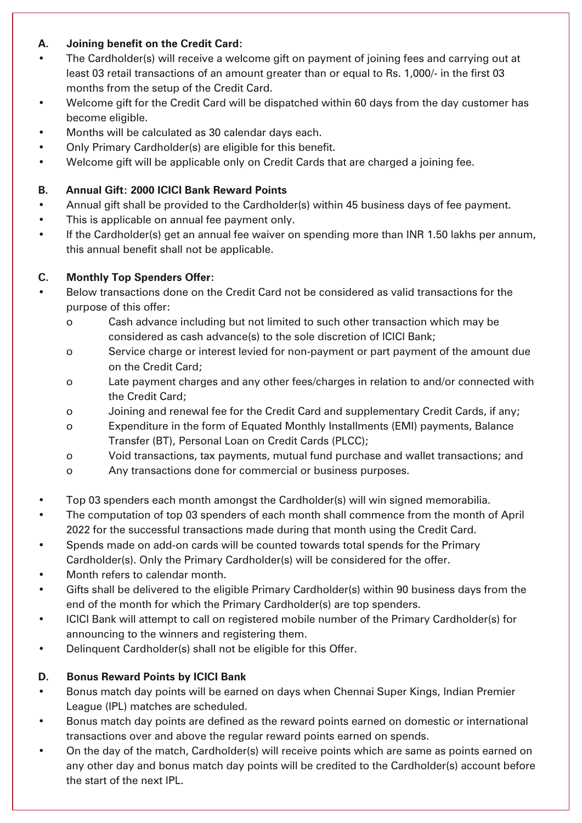## **A. Joining benefit on the Credit Card:**

- The Cardholder(s) will receive a welcome gift on payment of joining fees and carrying out at least 03 retail transactions of an amount greater than or equal to Rs. 1,000/- in the first 03 months from the setup of the Credit Card.
- Welcome gift for the Credit Card will be dispatched within 60 days from the day customer has become eligible.
- Months will be calculated as 30 calendar days each.
- Only Primary Cardholder(s) are eligible for this benefit.
- Welcome gift will be applicable only on Credit Cards that are charged a joining fee.

## **B. Annual Gift: 2000 ICICI Bank Reward Points**

- Annual gift shall be provided to the Cardholder(s) within 45 business days of fee payment.
- This is applicable on annual fee payment only.
- If the Cardholder(s) get an annual fee waiver on spending more than INR 1.50 lakhs per annum, this annual benefit shall not be applicable.

# **C. Monthly Top Spenders Offer:**

- Below transactions done on the Credit Card not be considered as valid transactions for the purpose of this offer:
	- o Cash advance including but not limited to such other transaction which may be considered as cash advance(s) to the sole discretion of ICICI Bank;
	- o Service charge or interest levied for non-payment or part payment of the amount due on the Credit Card;
	- o Late payment charges and any other fees/charges in relation to and/or connected with the Credit Card;
	- o Joining and renewal fee for the Credit Card and supplementary Credit Cards, if any;
	- o Expenditure in the form of Equated Monthly Installments (EMI) payments, Balance Transfer (BT), Personal Loan on Credit Cards (PLCC);
	- o Void transactions, tax payments, mutual fund purchase and wallet transactions; and
	- o Any transactions done for commercial or business purposes.
- Top 03 spenders each month amongst the Cardholder(s) will win signed memorabilia.
- The computation of top 03 spenders of each month shall commence from the month of April 2022 for the successful transactions made during that month using the Credit Card.
- Spends made on add-on cards will be counted towards total spends for the Primary Cardholder(s). Only the Primary Cardholder(s) will be considered for the offer.
- Month refers to calendar month.
- Gifts shall be delivered to the eligible Primary Cardholder(s) within 90 business days from the end of the month for which the Primary Cardholder(s) are top spenders.
- ICICI Bank will attempt to call on registered mobile number of the Primary Cardholder(s) for announcing to the winners and registering them.
- Delinquent Cardholder(s) shall not be eligible for this Offer.

# **D. Bonus Reward Points by ICICI Bank**

- Bonus match day points will be earned on days when Chennai Super Kings, Indian Premier League (IPL) matches are scheduled.
- Bonus match day points are defined as the reward points earned on domestic or international transactions over and above the regular reward points earned on spends.
- On the day of the match, Cardholder(s) will receive points which are same as points earned on any other day and bonus match day points will be credited to the Cardholder(s) account before the start of the next IPL.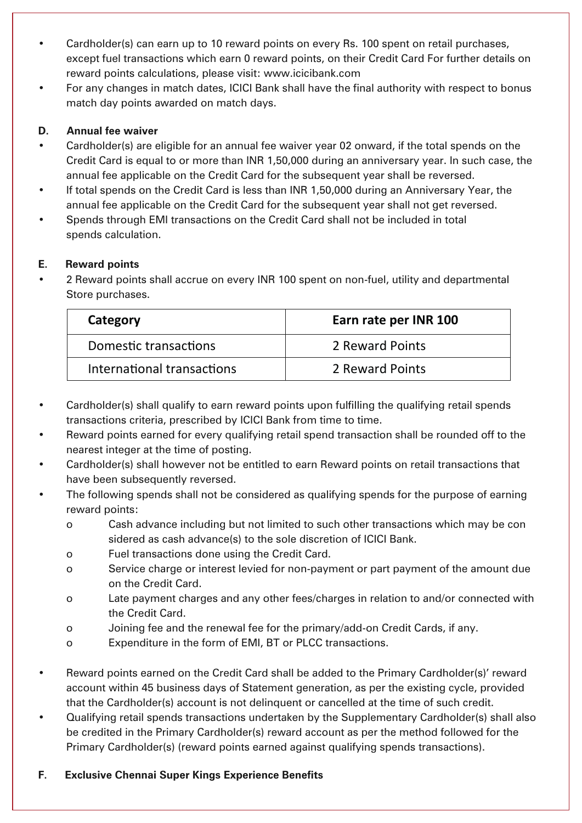- Cardholder(s) can earn up to 10 reward points on every Rs. 100 spent on retail purchases, except fuel transactions which earn 0 reward points, on their Credit Card For further details on reward points calculations, please visit: www.icicibank.com
- For any changes in match dates, ICICI Bank shall have the final authority with respect to bonus match day points awarded on match days.

## **D. Annual fee waiver**

- Cardholder(s) are eligible for an annual fee waiver year 02 onward, if the total spends on the Credit Card is equal to or more than INR 1,50,000 during an anniversary year. In such case, the annual fee applicable on the Credit Card for the subsequent year shall be reversed.
- If total spends on the Credit Card is less than INR 1,50,000 during an Anniversary Year, the annual fee applicable on the Credit Card for the subsequent year shall not get reversed.
- Spends through EMI transactions on the Credit Card shall not be included in total spends calculation.

## **E. Reward points**

• 2 Reward points shall accrue on every INR 100 spent on non-fuel, utility and departmental Store purchases.

| Category                   | Earn rate per INR 100 |
|----------------------------|-----------------------|
| Domestic transactions      | 2 Reward Points       |
| International transactions | 2 Reward Points       |

- Cardholder(s) shall qualify to earn reward points upon fulfilling the qualifying retail spends transactions criteria, prescribed by ICICI Bank from time to time.
- Reward points earned for every qualifying retail spend transaction shall be rounded off to the nearest integer at the time of posting.
- Cardholder(s) shall however not be entitled to earn Reward points on retail transactions that have been subsequently reversed.
- The following spends shall not be considered as qualifying spends for the purpose of earning reward points:
	- o Cash advance including but not limited to such other transactions which may be con sidered as cash advance(s) to the sole discretion of ICICI Bank.
	- o Fuel transactions done using the Credit Card.
	- o Service charge or interest levied for non-payment or part payment of the amount due on the Credit Card.
	- o Late payment charges and any other fees/charges in relation to and/or connected with the Credit Card.
	- o Joining fee and the renewal fee for the primary/add-on Credit Cards, if any.
	- o Expenditure in the form of EMI, BT or PLCC transactions.
- Reward points earned on the Credit Card shall be added to the Primary Cardholder(s)' reward account within 45 business days of Statement generation, as per the existing cycle, provided that the Cardholder(s) account is not delinquent or cancelled at the time of such credit.
- Qualifying retail spends transactions undertaken by the Supplementary Cardholder(s) shall also be credited in the Primary Cardholder(s) reward account as per the method followed for the Primary Cardholder(s) (reward points earned against qualifying spends transactions).

### **F. Exclusive Chennai Super Kings Experience Benefits**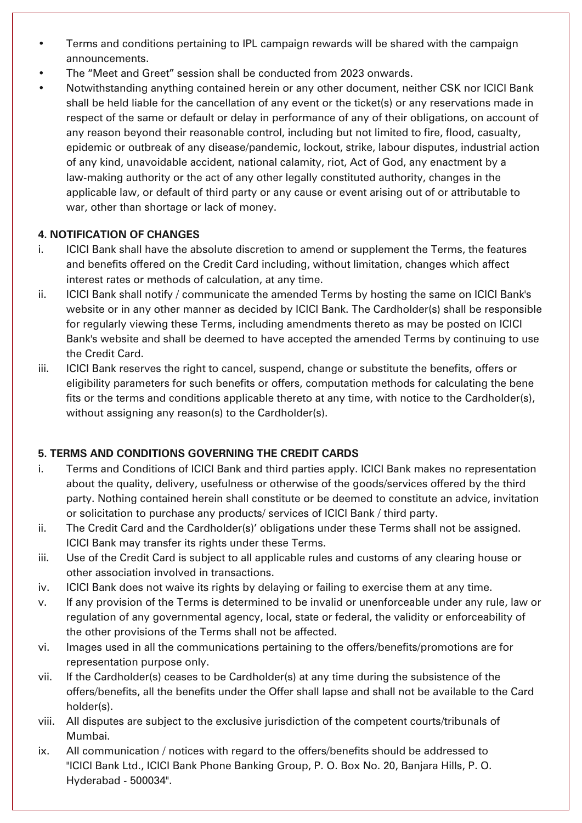- Terms and conditions pertaining to IPL campaign rewards will be shared with the campaign announcements.
- The "Meet and Greet" session shall be conducted from 2023 onwards.
- Notwithstanding anything contained herein or any other document, neither CSK nor ICICI Bank shall be held liable for the cancellation of any event or the ticket(s) or any reservations made in respect of the same or default or delay in performance of any of their obligations, on account of any reason beyond their reasonable control, including but not limited to fire, flood, casualty, epidemic or outbreak of any disease/pandemic, lockout, strike, labour disputes, industrial action of any kind, unavoidable accident, national calamity, riot, Act of God, any enactment by a law-making authority or the act of any other legally constituted authority, changes in the applicable law, or default of third party or any cause or event arising out of or attributable to war, other than shortage or lack of money.

## **4. NOTIFICATION OF CHANGES**

- i. ICICI Bank shall have the absolute discretion to amend or supplement the Terms, the features and benefits offered on the Credit Card including, without limitation, changes which affect interest rates or methods of calculation, at any time.
- ii. ICICI Bank shall notify / communicate the amended Terms by hosting the same on ICICI Bank's website or in any other manner as decided by ICICI Bank. The Cardholder(s) shall be responsible for regularly viewing these Terms, including amendments thereto as may be posted on ICICI Bank's website and shall be deemed to have accepted the amended Terms by continuing to use the Credit Card.
- iii. ICICI Bank reserves the right to cancel, suspend, change or substitute the benefits, offers or eligibility parameters for such benefits or offers, computation methods for calculating the bene fits or the terms and conditions applicable thereto at any time, with notice to the Cardholder(s), without assigning any reason(s) to the Cardholder(s).

# **5. TERMS AND CONDITIONS GOVERNING THE CREDIT CARDS**

- i. Terms and Conditions of ICICI Bank and third parties apply. ICICI Bank makes no representation about the quality, delivery, usefulness or otherwise of the goods/services offered by the third party. Nothing contained herein shall constitute or be deemed to constitute an advice, invitation or solicitation to purchase any products/ services of ICICI Bank / third party.
- ii. The Credit Card and the Cardholder(s)' obligations under these Terms shall not be assigned. ICICI Bank may transfer its rights under these Terms.
- iii. Use of the Credit Card is subject to all applicable rules and customs of any clearing house or other association involved in transactions.
- iv. ICICI Bank does not waive its rights by delaying or failing to exercise them at any time.
- v. If any provision of the Terms is determined to be invalid or unenforceable under any rule, law or regulation of any governmental agency, local, state or federal, the validity or enforceability of the other provisions of the Terms shall not be affected.
- vi. Images used in all the communications pertaining to the offers/benefits/promotions are for representation purpose only.
- vii. If the Cardholder(s) ceases to be Cardholder(s) at any time during the subsistence of the offers/benefits, all the benefits under the Offer shall lapse and shall not be available to the Card holder(s).
- viii. All disputes are subject to the exclusive jurisdiction of the competent courts/tribunals of Mumbai.
- ix. All communication / notices with regard to the offers/benefits should be addressed to "ICICI Bank Ltd., ICICI Bank Phone Banking Group, P. O. Box No. 20, Banjara Hills, P. O. Hyderabad - 500034".